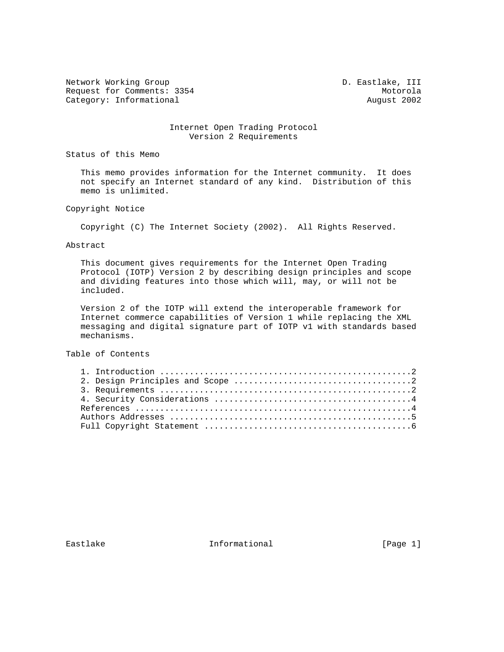Network Working Group and Communications of the D. Eastlake, III Request for Comments: 3354 Motorola<br>
Category: Informational Motorola August 2002 Category: Informational

## Internet Open Trading Protocol Version 2 Requirements

Status of this Memo

 This memo provides information for the Internet community. It does not specify an Internet standard of any kind. Distribution of this memo is unlimited.

Copyright Notice

Copyright (C) The Internet Society (2002). All Rights Reserved.

Abstract

 This document gives requirements for the Internet Open Trading Protocol (IOTP) Version 2 by describing design principles and scope and dividing features into those which will, may, or will not be included.

 Version 2 of the IOTP will extend the interoperable framework for Internet commerce capabilities of Version 1 while replacing the XML messaging and digital signature part of IOTP v1 with standards based mechanisms.

Table of Contents

Eastlake Informational [Page 1]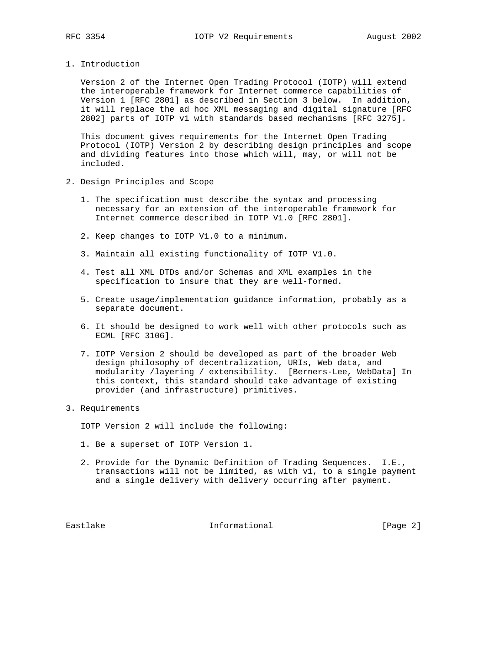1. Introduction

 Version 2 of the Internet Open Trading Protocol (IOTP) will extend the interoperable framework for Internet commerce capabilities of Version 1 [RFC 2801] as described in Section 3 below. In addition, it will replace the ad hoc XML messaging and digital signature [RFC 2802] parts of IOTP v1 with standards based mechanisms [RFC 3275].

 This document gives requirements for the Internet Open Trading Protocol (IOTP) Version 2 by describing design principles and scope and dividing features into those which will, may, or will not be included.

- 2. Design Principles and Scope
	- 1. The specification must describe the syntax and processing necessary for an extension of the interoperable framework for Internet commerce described in IOTP V1.0 [RFC 2801].
	- 2. Keep changes to IOTP V1.0 to a minimum.
	- 3. Maintain all existing functionality of IOTP V1.0.
	- 4. Test all XML DTDs and/or Schemas and XML examples in the specification to insure that they are well-formed.
	- 5. Create usage/implementation guidance information, probably as a separate document.
	- 6. It should be designed to work well with other protocols such as ECML [RFC 3106].
	- 7. IOTP Version 2 should be developed as part of the broader Web design philosophy of decentralization, URIs, Web data, and modularity /layering / extensibility. [Berners-Lee, WebData] In this context, this standard should take advantage of existing provider (and infrastructure) primitives.
- 3. Requirements

IOTP Version 2 will include the following:

- 1. Be a superset of IOTP Version 1.
- 2. Provide for the Dynamic Definition of Trading Sequences. I.E., transactions will not be limited, as with v1, to a single payment and a single delivery with delivery occurring after payment.

Eastlake **Informational** Informational [Page 2]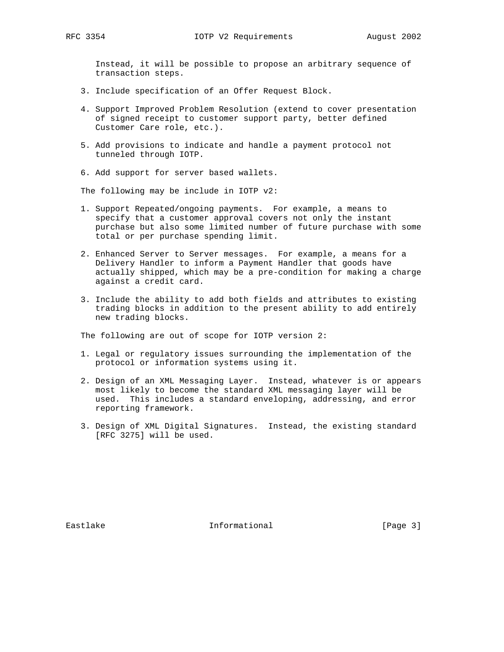Instead, it will be possible to propose an arbitrary sequence of transaction steps.

- 3. Include specification of an Offer Request Block.
- 4. Support Improved Problem Resolution (extend to cover presentation of signed receipt to customer support party, better defined Customer Care role, etc.).
- 5. Add provisions to indicate and handle a payment protocol not tunneled through IOTP.
- 6. Add support for server based wallets.

The following may be include in IOTP v2:

- 1. Support Repeated/ongoing payments. For example, a means to specify that a customer approval covers not only the instant purchase but also some limited number of future purchase with some total or per purchase spending limit.
- 2. Enhanced Server to Server messages. For example, a means for a Delivery Handler to inform a Payment Handler that goods have actually shipped, which may be a pre-condition for making a charge against a credit card.
- 3. Include the ability to add both fields and attributes to existing trading blocks in addition to the present ability to add entirely new trading blocks.

The following are out of scope for IOTP version 2:

- 1. Legal or regulatory issues surrounding the implementation of the protocol or information systems using it.
- 2. Design of an XML Messaging Layer. Instead, whatever is or appears most likely to become the standard XML messaging layer will be used. This includes a standard enveloping, addressing, and error reporting framework.
- 3. Design of XML Digital Signatures. Instead, the existing standard [RFC 3275] will be used.

Eastlake Informational [Page 3]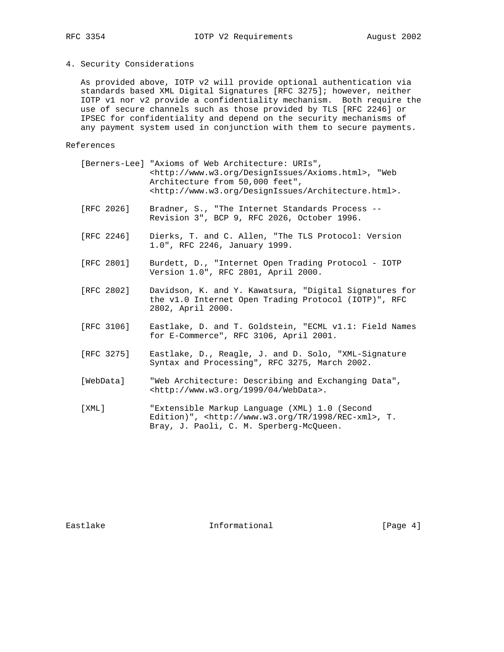## 4. Security Considerations

 As provided above, IOTP v2 will provide optional authentication via standards based XML Digital Signatures [RFC 3275]; however, neither IOTP v1 nor v2 provide a confidentiality mechanism. Both require the use of secure channels such as those provided by TLS [RFC 2246] or IPSEC for confidentiality and depend on the security mechanisms of any payment system used in conjunction with them to secure payments.

## References

|            | [Berners-Lee] "Axioms of Web Architecture: URIs",<br><http: axioms.html="" designissues="" www.w3.org="">, "Web<br/>Architecture from 50,000 feet",<br/><math>\text{thtp:} //</math>www.w3.org/DesignIssues/Architecture.html&gt;.</http:> |
|------------|--------------------------------------------------------------------------------------------------------------------------------------------------------------------------------------------------------------------------------------------|
| [RFC 2026] | Bradner, S., "The Internet Standards Process --<br>Revision 3", BCP 9, RFC 2026, October 1996.                                                                                                                                             |
| [RFC 2246] | Dierks, T. and C. Allen, "The TLS Protocol: Version<br>1.0", RFC 2246, January 1999.                                                                                                                                                       |
| FRFC 28011 | Burdett, D., "Internet Open Trading Protocol - IOTP<br>Version 1.0", RFC 2801, April 2000.                                                                                                                                                 |
| FRFC 28021 | Davidson, K. and Y. Kawatsura, "Digital Signatures for<br>the v1.0 Internet Open Trading Protocol (IOTP)", RFC<br>2802, April 2000.                                                                                                        |
| [RFC 3106] | Eastlake, D. and T. Goldstein, "ECML v1.1: Field Names<br>for E-Commerce", RFC 3106, April 2001.                                                                                                                                           |
| [RFC 3275] | Eastlake, D., Reagle, J. and D. Solo, "XML-Signature<br>Syntax and Processing", RFC 3275, March 2002.                                                                                                                                      |
| [WebData]  | "Web Architecture: Describing and Exchanging Data",<br><http: 04="" 1999="" webdata="" www.w3.org="">.</http:>                                                                                                                             |
| [ XML ]    | "Extensible Markup Language (XML) 1.0 (Second<br>Edition)", <http: 1998="" rec-xml="" tr="" www.w3.org="">, T.<br/>Bray, J. Paoli, C. M. Sperberg-McQueen.</http:>                                                                         |

Eastlake Informational [Page 4]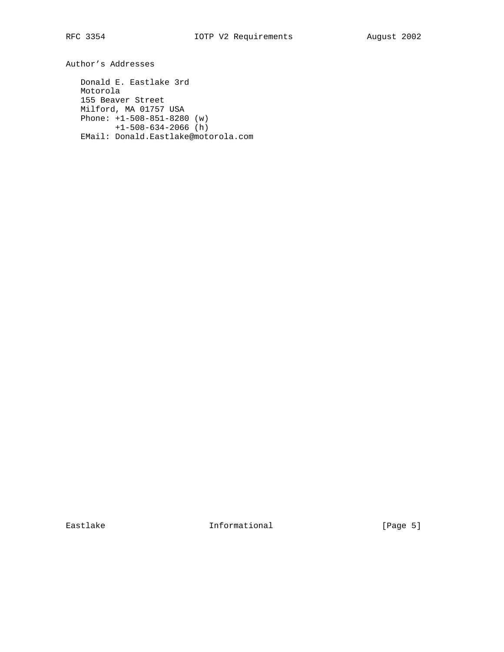Author's Addresses

 Donald E. Eastlake 3rd Motorola 155 Beaver Street Milford, MA 01757 USA Phone: +1-508-851-8280 (w) +1-508-634-2066 (h) EMail: Donald.Eastlake@motorola.com

Eastlake Informational [Page 5]